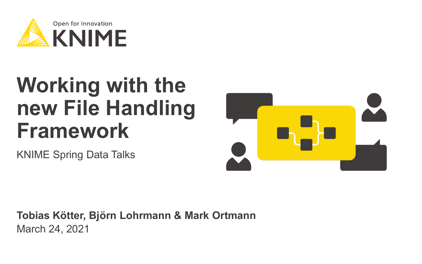

# **Working with the new File Handling Framework**

KNIME Spring Data Talks



March 24, 2021 **Tobias Kötter, Björn Lohrmann & Mark Ortmann**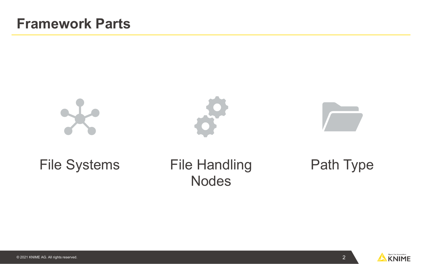

#### File Systems File Handling Nodes

#### Path Type

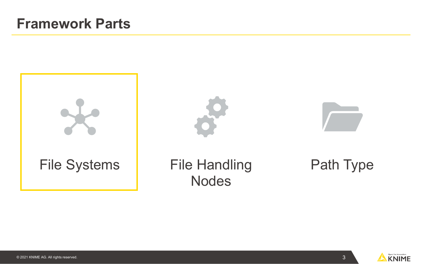



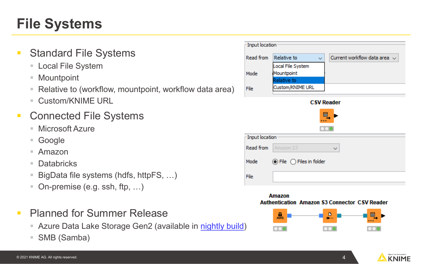### **File Systems**

- Standard File Systems
	- Local File System
	- Mountpoint
	- Relative to (workflow, mountpoint, workflow data area)
	- Custom/KNIME URL
- Connected File Systems
	- **Microsoft Azure**
	- Google
	- Amazon
	- Databricks
	- BigData file systems (hdfs, httpFS, ...)
	- On-premise (e.g. ssh, ftp, ...)
- **Planned for Summer Release** 
	- Azure Data Lake Storage Gen2 (available in [nightly build](https://www.knime.com/nightly-build-downloads))
	- SMB (Samba)

| Input location    |                                                         |                                                   |  |  |  |  |
|-------------------|---------------------------------------------------------|---------------------------------------------------|--|--|--|--|
| Read from         | Relative to                                             | Current workflow data area $\sim$<br>$\checkmark$ |  |  |  |  |
|                   | Local File System                                       |                                                   |  |  |  |  |
| Mode              | Mountpoint                                              |                                                   |  |  |  |  |
| File              | Relative to<br>Custom/KNIME URL                         |                                                   |  |  |  |  |
| <b>CSV Reader</b> |                                                         |                                                   |  |  |  |  |
| 国                 |                                                         |                                                   |  |  |  |  |
| Input location    |                                                         |                                                   |  |  |  |  |
| Read from         | Amazon S3                                               | $\ddot{}$                                         |  |  |  |  |
| Mode              | $\circledcirc$ File $\circlearrowright$ Files in folder |                                                   |  |  |  |  |
| File              |                                                         |                                                   |  |  |  |  |

#### **Amazon Authentication Amazon \$3 Connector CSV Reader**



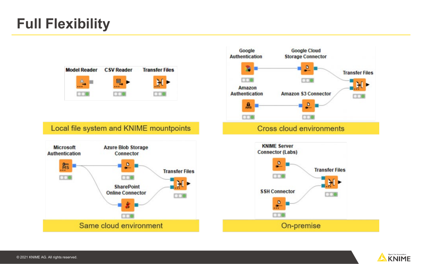### **Full Flexibility**



#### Local file system and KNIME mountpoints





#### Cross cloud environments



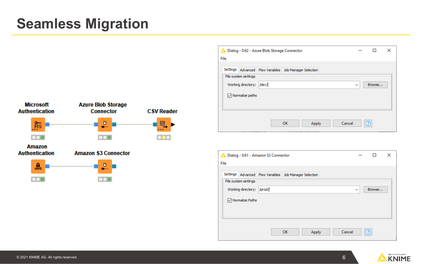#### **Seamless Migration**



|      |                             | Dialog - 0:62 - Azure Blob Storage Connector           |    |       |        |              |        | × |
|------|-----------------------------|--------------------------------------------------------|----|-------|--------|--------------|--------|---|
| File |                             |                                                        |    |       |        |              |        |   |
|      |                             |                                                        |    |       |        |              |        |   |
|      |                             | Settings Advanced Flow Variables Job Manager Selection |    |       |        |              |        |   |
|      | File system settings        |                                                        |    |       |        |              |        |   |
|      | Working directory:          | /dev/                                                  |    |       |        | $\checkmark$ | Browse |   |
|      | $\sqrt{\ }$ Normalize paths |                                                        |    |       |        |              |        |   |
|      |                             |                                                        |    |       |        |              |        |   |
|      |                             |                                                        |    |       |        |              |        |   |
|      |                             |                                                        | OK | Apply | Cancel |              | റ      |   |

| File |                      | Dialog - 0:61 - Amazon S3 Connector                    |    |       |              | п      | × |
|------|----------------------|--------------------------------------------------------|----|-------|--------------|--------|---|
|      |                      |                                                        |    |       |              |        |   |
|      |                      | Settings Advanced Flow Variables Job Manager Selection |    |       |              |        |   |
|      | File system settings |                                                        |    |       |              |        |   |
|      | Working directory:   | /prod/                                                 |    |       | $\checkmark$ | Browse |   |
|      | Mormalize Paths      |                                                        |    |       |              |        |   |
|      |                      |                                                        |    |       |              |        |   |
|      |                      |                                                        |    |       |              |        |   |
|      |                      |                                                        |    |       |              |        |   |
|      |                      |                                                        | OK | Apply | Cancel       | റ      |   |
|      |                      |                                                        |    |       |              |        |   |

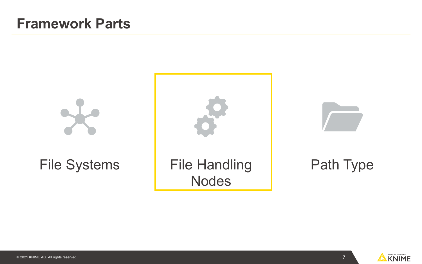





7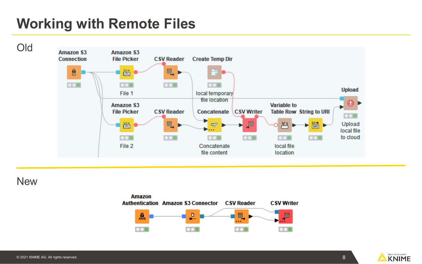### **Working with Remote Files**



**New** 



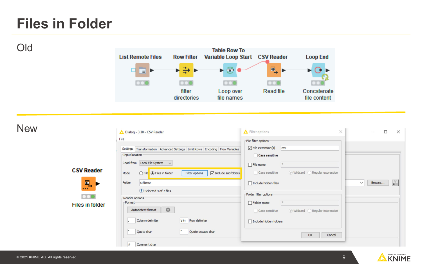#### **Files in Folder**

Old



**New** 

Dialog - 3:30 - CSV Reader Filter options  $\times$  $\Box$  $\times$ File File filter options  $\boxed{\smash{\bigtriangledown}}$  File extension(s) csv Settings Transformation Advanced Settings Limit Rows Encoding Flow Variables Input location Case sensitive Read from Local File System  $\sim$  $\Box$  File name **CSV Reader** ○ File ● Files in folder Filter options  $\boxed{\smash{\bigtriangledown}}$  Include subfolders Case sensitive ◉ Wildcard ⓒ Regular expression Mode 鳥 Folder c:\temp Browse... Include hidden files  $\checkmark$  $\bullet$ **D** Selected 4 of 7 files Folder filter options  $\bullet$ Reader options Format  $\Box$  Folder name **Files in folder** ☆ Autodetect format Case sensitive ◉ Wildcard ◯ Regular expression Column delimiter v/n Row delimiter Include hidden folders Quote char Quote escape char OK Cancel Comment char #

9

Open for Innovation **KNIME**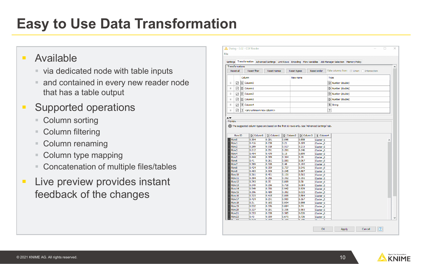### **Easy to Use Data Transformation**

#### **Available**

- via dedicated node with table inputs
- **and contained in every new reader node** that has a table output
- **Supported operations** 
	- Column sorting
	- Column filtering
	- Column renaming
	- Column type mapping
	- Concatenation of multiple files/tables
- **Live preview provides instant** feedback of the changes

| Column<br>Type<br>New name<br>D Column0<br>D Number (double)<br>÷<br>☑<br>D Number (double)<br>$\mathbf{H}$<br>☑<br>D Column1<br>÷<br>D Number (double)<br>☑<br>D Column <sub>2</sub><br>D Number (double)<br>÷<br>▽<br>D Column3<br>S   Column4<br>S String<br>Ħ<br>☑<br>?<br>Ħ<br>  ?   <any column="" new="" unknown=""><br/>▽</any> |   |
|-----------------------------------------------------------------------------------------------------------------------------------------------------------------------------------------------------------------------------------------------------------------------------------------------------------------------------------------|---|
|                                                                                                                                                                                                                                                                                                                                         |   |
|                                                                                                                                                                                                                                                                                                                                         |   |
|                                                                                                                                                                                                                                                                                                                                         |   |
|                                                                                                                                                                                                                                                                                                                                         |   |
|                                                                                                                                                                                                                                                                                                                                         |   |
|                                                                                                                                                                                                                                                                                                                                         |   |
|                                                                                                                                                                                                                                                                                                                                         |   |
|                                                                                                                                                                                                                                                                                                                                         |   |
|                                                                                                                                                                                                                                                                                                                                         |   |
| $\boxed{D}$ Column1<br>D Column <sub>2</sub><br>D Column0<br>D Column3<br>S Column4<br>Row0<br>0.304<br>0.291<br>0.096<br>0.858<br>Cluster <sub>0</sub>                                                                                                                                                                                 | ^ |
| Row ID                                                                                                                                                                                                                                                                                                                                  |   |
|                                                                                                                                                                                                                                                                                                                                         |   |
| 0.416<br>0.238<br>Row1<br>0.21<br>0.109<br>Cluster <sub>0</sub>                                                                                                                                                                                                                                                                         |   |
| Row <sub>2</sub><br>0.299<br>0.318<br>0.517<br>0.215<br>Cluster <sub>0</sub>                                                                                                                                                                                                                                                            |   |
| Row <sub>3</sub><br>0.212<br>0.291<br>0.201<br>0.146<br>Cluster <sub>0</sub>                                                                                                                                                                                                                                                            |   |
| 0.494<br>0.479<br>0.15<br>Row4<br>0.899<br>Cluster_0                                                                                                                                                                                                                                                                                    |   |
| 0.389<br>Row <sub>5</sub><br>0.444<br>0.364<br>0.19<br>Cluster_0                                                                                                                                                                                                                                                                        |   |
| Row <sub>6</sub><br>0.41<br>0.261<br>0.581<br>0.967<br>Cluster <sub>0</sub>                                                                                                                                                                                                                                                             |   |
| 0.328<br>0.193<br>Row7<br>0.389<br>0.48                                                                                                                                                                                                                                                                                                 |   |
|                                                                                                                                                                                                                                                                                                                                         |   |
| Cluster <sub>0</sub><br>0.424<br>0.359<br>0.737<br>0.541<br>Row <sub>8</sub>                                                                                                                                                                                                                                                            |   |
| Cluster <sub>0</sub><br>Row9<br>0.493<br>0.309<br>0.887<br>0.245                                                                                                                                                                                                                                                                        |   |
| Cluster <sub>0</sub><br>Row <sub>10</sub><br>0.361<br>0.451<br>0.151<br>0.565                                                                                                                                                                                                                                                           |   |
| Cluster <sub>0</sub><br>0.256<br>0.151<br>Row11<br>0.394<br>0.352<br>Cluster <sub>0</sub>                                                                                                                                                                                                                                               |   |
| Row12<br>0.393<br>0.35<br>0.009<br>0.58<br>Cluster <sub>0</sub>                                                                                                                                                                                                                                                                         |   |
| Row13<br>0.349<br>0.296<br>0.718<br>0.084<br>Cluster <sub>0</sub>                                                                                                                                                                                                                                                                       |   |
| Row14<br>0.549<br>0.356<br>0.942<br>0.929<br>Cluster <sub>0</sub>                                                                                                                                                                                                                                                                       |   |
| Row <sub>15</sub><br>0.396<br>0.489<br>0.302<br>0.023<br>Cluster <sub>0</sub>                                                                                                                                                                                                                                                           |   |
| <b>Row16</b><br>0.323<br>0.415<br>0.009<br>0.884<br>Cluster_0                                                                                                                                                                                                                                                                           |   |
| Row17<br>0.424<br>0.291<br>0.909<br>0.167<br>Cluster_0                                                                                                                                                                                                                                                                                  |   |
| Row <sub>18</sub><br>0.31<br>0.162<br>0.998<br>0.934<br>Cluster_0                                                                                                                                                                                                                                                                       |   |
| Row19<br>0.532<br>0.376<br>0.084<br>0.74<br>Cluster <sub>0</sub>                                                                                                                                                                                                                                                                        |   |
| Row <sub>20</sub><br>0.327<br>0.291<br>0.336<br>0.583<br>Cluster <sub>0</sub>                                                                                                                                                                                                                                                           |   |
| Row21<br>0.353<br>0.338<br>0.626<br>0.585<br>Cluster <sub>0</sub>                                                                                                                                                                                                                                                                       |   |

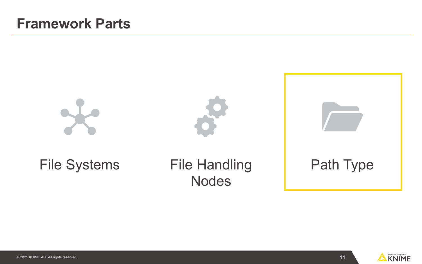

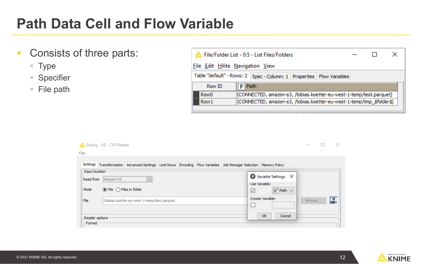#### **Path Data Cell and Flow Variable**

- **Consists of three parts:** 
	- Type
	- Specifier
	- $F$  File path

| File/Folder List - 0:5 - List Files/Folders                                             |                                  |  |  |  |  |  |
|-----------------------------------------------------------------------------------------|----------------------------------|--|--|--|--|--|
|                                                                                         | File Edit Hilite Navigation View |  |  |  |  |  |
| Table "default" - Rows: 2   Spec - Column: 1   Properties   Flow Variables              |                                  |  |  |  |  |  |
| Row ID                                                                                  | <b>P</b> Path                    |  |  |  |  |  |
| Row <sub>0</sub><br>(CONNECTED, amazon-s3, /tobias.koetter-eu-west-1-temp/test.parquet) |                                  |  |  |  |  |  |
| (CONNECTED, amazon-s3, /tobias.koetter-eu-west-1-temp/tmp_\$folder\$)<br>Row1           |                                  |  |  |  |  |  |
|                                                                                         |                                  |  |  |  |  |  |

|                              | Dialog - 0:8 - CSV Reader                                                                                        | $\hspace{0.1mm}-\hspace{0.1mm}$                 |
|------------------------------|------------------------------------------------------------------------------------------------------------------|-------------------------------------------------|
| File                         |                                                                                                                  |                                                 |
|                              | Settings Transformation Advanced Settings Limit Rows Encoding Flow Variables Job Manager Selection Memory Policy |                                                 |
| -Input location<br>Read from | Amazon S3                                                                                                        | $\bullet$ Variable Settings $\times$            |
| Mode                         | $\circledcirc$ File $\circledcirc$ Files in folder                                                               | Use Variable:<br>$p^{\bullet}$ Path $\sim$<br>☑ |
| File                         | /tobias.koetter-eu-west-1-temp/test.parquet                                                                      | Create Variable:<br>Ľ,<br>Browse<br>×.          |
| -Reader options<br>-Format   |                                                                                                                  | OK<br>Cancel                                    |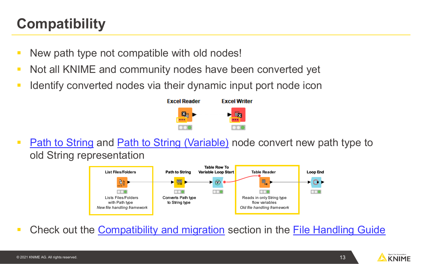### **Compatibility**

- New path type not compatible with old nodes!
- Not all KNIME and community nodes have been converted yet
- I Identify converted nodes via their dynamic input port node icon



• [Path to String](https://kni.me/n/ZLCisQlHCzW4IiZG) and [Path to String \(Variable\)](https://kni.me/n/7iP1GCKnb_WMgJ4V) node convert new path type to old String representation



Check out the [Compatibility and migration](https://docs.knime.com/latest/analytics_platform_file_handling_guide/index.html#compatibility-and-migration) section in the [File Handling Guide](https://docs.knime.com/latest/analytics_platform_file_handling_guide/index.html)